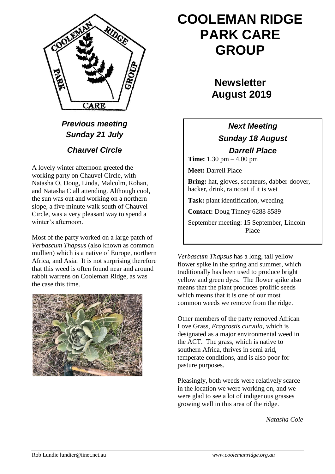

*Previous meeting Sunday 21 July*

### *Chauvel Circle*

A lovely winter afternoon greeted the working party on Chauvel Circle, with Natasha O, Doug, Linda, Malcolm, Rohan, and Natasha C all attending. Although cool, the sun was out and working on a northern slope, a five minute walk south of Chauvel Circle, was a very pleasant way to spend a winter's afternoon.

Most of the party worked on a large patch of *Verbascum Thapsus* (also known as common mullien) which is a native of Europe, northern Africa, and Asia. It is not surprising therefore that this weed is often found near and around rabbit warrens on Cooleman Ridge, as was the case this time.



# **COOLEMAN RIDGE PARK CARE GROUP**

## **Newsletter August 2019**

### *Next Meeting Sunday 18 August*

*Darrell Place* **Time:** 1.30 pm – 4.00 pm

**Meet:** Darrell Place

**Bring:** hat, gloves, secateurs, dabber-doover, hacker, drink, raincoat if it is wet

**Task:** plant identification, weeding

**Contact:** Doug Tinney 6288 8589

September meeting: 15 September, Lincoln Place

*Verbascum Thapsus* has a long, tall yellow flower spike in the spring and summer, which traditionally has been used to produce bright yellow and green dyes. The flower spike also means that the plant produces prolific seeds which means that it is one of our most common weeds we remove from the ridge.

Other members of the party removed African Love Grass, *Eragrostis curvula*, which is designated as a major environmental weed in the ACT. The grass, which is native to southern Africa, thrives in semi arid, temperate conditions, and is also poor for pasture purposes.

Pleasingly, both weeds were relatively scarce in the location we were working on, and we were glad to see a lot of indigenous grasses growing well in this area of the ridge.

*Natasha Cole*